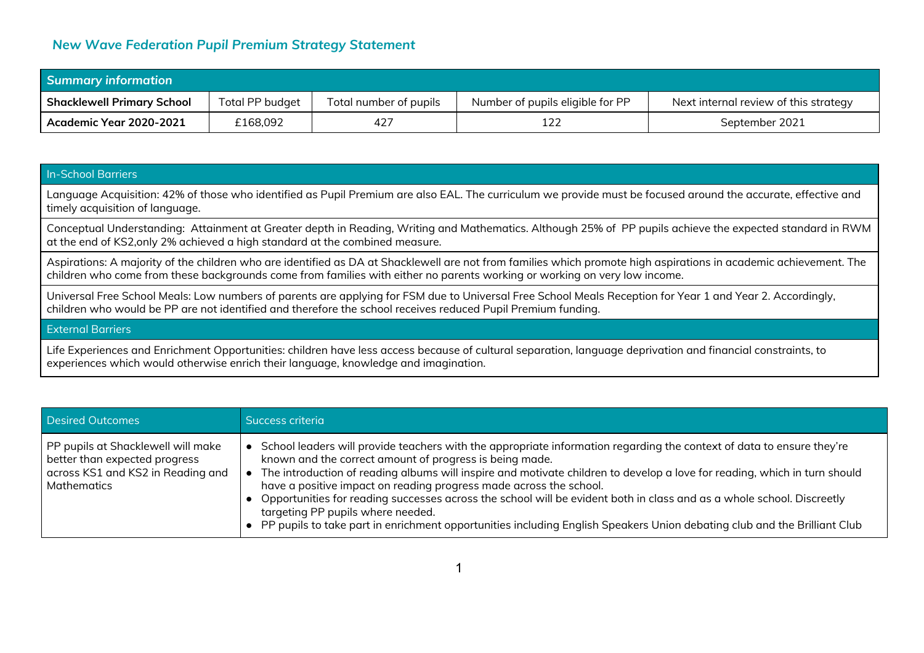## *New Wave Federation Pupil Premium Strategy Statement*

| <b>Summary information</b>           |                 |                        |                                  |                                       |  |
|--------------------------------------|-----------------|------------------------|----------------------------------|---------------------------------------|--|
| <b>Shacklewell Primary School</b>    | Total PP budget | Total number of pupils | Number of pupils eligible for PP | Next internal review of this strategy |  |
| <sup>1</sup> Academic Year 2020-2021 | £168,092        | 427                    |                                  | September 2021                        |  |

## In-School Barriers

Language Acquisition: 42% of those who identified as Pupil Premium are also EAL. The curriculum we provide must be focused around the accurate, effective and timely acquisition of language.

Conceptual Understanding: Attainment at Greater depth in Reading, Writing and Mathematics. Although 25% of PP pupils achieve the expected standard in RWM at the end of KS2,only 2% achieved a high standard at the combined measure.

Aspirations: A majority of the children who are identified as DA at Shacklewell are not from families which promote high aspirations in academic achievement. The children who come from these backgrounds come from families with either no parents working or working on very low income.

Universal Free School Meals: Low numbers of parents are applying for FSM due to Universal Free School Meals Reception for Year 1 and Year 2. Accordingly, children who would be PP are not identified and therefore the school receives reduced Pupil Premium funding.

## External Barriers

Life Experiences and Enrichment Opportunities: children have less access because of cultural separation, language deprivation and financial constraints, to experiences which would otherwise enrich their language, knowledge and imagination.

| <b>Desired Outcomes</b>                                                                                                 | Success criteria                                                                                                                                                                                                                                                                                                                                                                                                                                                                                                                                                                                                                                                              |
|-------------------------------------------------------------------------------------------------------------------------|-------------------------------------------------------------------------------------------------------------------------------------------------------------------------------------------------------------------------------------------------------------------------------------------------------------------------------------------------------------------------------------------------------------------------------------------------------------------------------------------------------------------------------------------------------------------------------------------------------------------------------------------------------------------------------|
| PP pupils at Shacklewell will make<br>better than expected progress<br>across KS1 and KS2 in Reading and<br>Mathematics | School leaders will provide teachers with the appropriate information regarding the context of data to ensure they're<br>known and the correct amount of progress is being made.<br>The introduction of reading albums will inspire and motivate children to develop a love for reading, which in turn should<br>have a positive impact on reading progress made across the school.<br>Opportunities for reading successes across the school will be evident both in class and as a whole school. Discreetly<br>targeting PP pupils where needed.<br>PP pupils to take part in enrichment opportunities including English Speakers Union debating club and the Brilliant Club |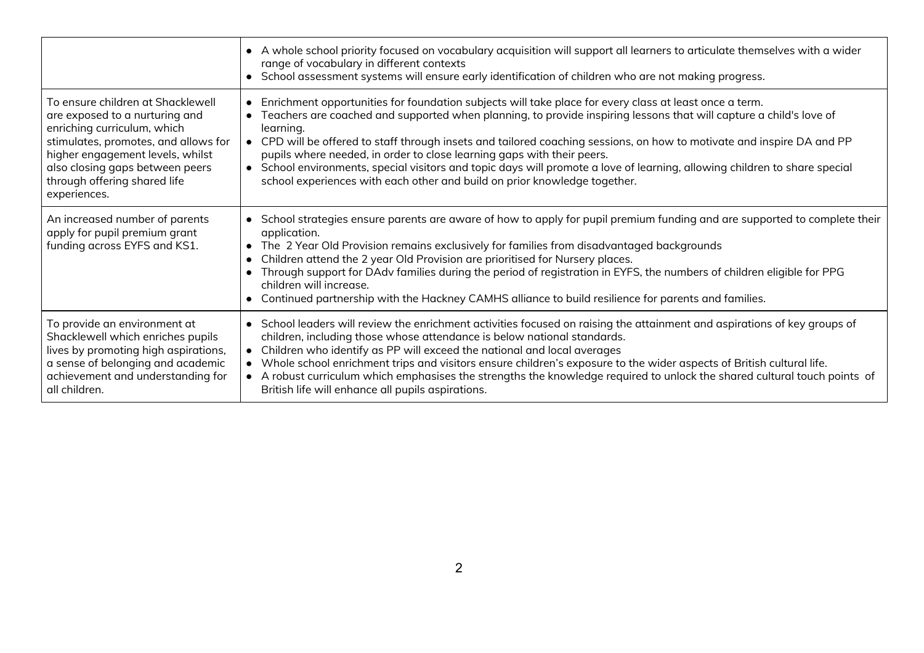|                                                                                                                                                                                                                                                                   | A whole school priority focused on vocabulary acquisition will support all learners to articulate themselves with a wider<br>range of vocabulary in different contexts<br>• School assessment systems will ensure early identification of children who are not making progress.                                                                                                                                                                                                                                                                                                                                                                                                  |
|-------------------------------------------------------------------------------------------------------------------------------------------------------------------------------------------------------------------------------------------------------------------|----------------------------------------------------------------------------------------------------------------------------------------------------------------------------------------------------------------------------------------------------------------------------------------------------------------------------------------------------------------------------------------------------------------------------------------------------------------------------------------------------------------------------------------------------------------------------------------------------------------------------------------------------------------------------------|
| To ensure children at Shacklewell<br>are exposed to a nurturing and<br>enriching curriculum, which<br>stimulates, promotes, and allows for<br>higher engagement levels, whilst<br>also closing gaps between peers<br>through offering shared life<br>experiences. | Enrichment opportunities for foundation subjects will take place for every class at least once a term.<br>$\bullet$<br>Teachers are coached and supported when planning, to provide inspiring lessons that will capture a child's love of<br>learning.<br>CPD will be offered to staff through insets and tailored coaching sessions, on how to motivate and inspire DA and PP<br>$\bullet$<br>pupils where needed, in order to close learning gaps with their peers.<br>• School environments, special visitors and topic days will promote a love of learning, allowing children to share special<br>school experiences with each other and build on prior knowledge together. |
| An increased number of parents<br>apply for pupil premium grant<br>funding across EYFS and KS1.                                                                                                                                                                   | • School strategies ensure parents are aware of how to apply for pupil premium funding and are supported to complete their<br>application.<br>The 2 Year Old Provision remains exclusively for families from disadvantaged backgrounds<br>$\bullet$<br>Children attend the 2 year Old Provision are prioritised for Nursery places.<br>Through support for DAdv families during the period of registration in EYFS, the numbers of children eligible for PPG<br>children will increase.<br>Continued partnership with the Hackney CAMHS alliance to build resilience for parents and families.                                                                                   |
| To provide an environment at<br>Shacklewell which enriches pupils<br>lives by promoting high aspirations,<br>a sense of belonging and academic<br>achievement and understanding for<br>all children.                                                              | • School leaders will review the enrichment activities focused on raising the attainment and aspirations of key groups of<br>children, including those whose attendance is below national standards.<br>Children who identify as PP will exceed the national and local averages<br>• Whole school enrichment trips and visitors ensure children's exposure to the wider aspects of British cultural life.<br>• A robust curriculum which emphasises the strengths the knowledge required to unlock the shared cultural touch points of<br>British life will enhance all pupils aspirations.                                                                                      |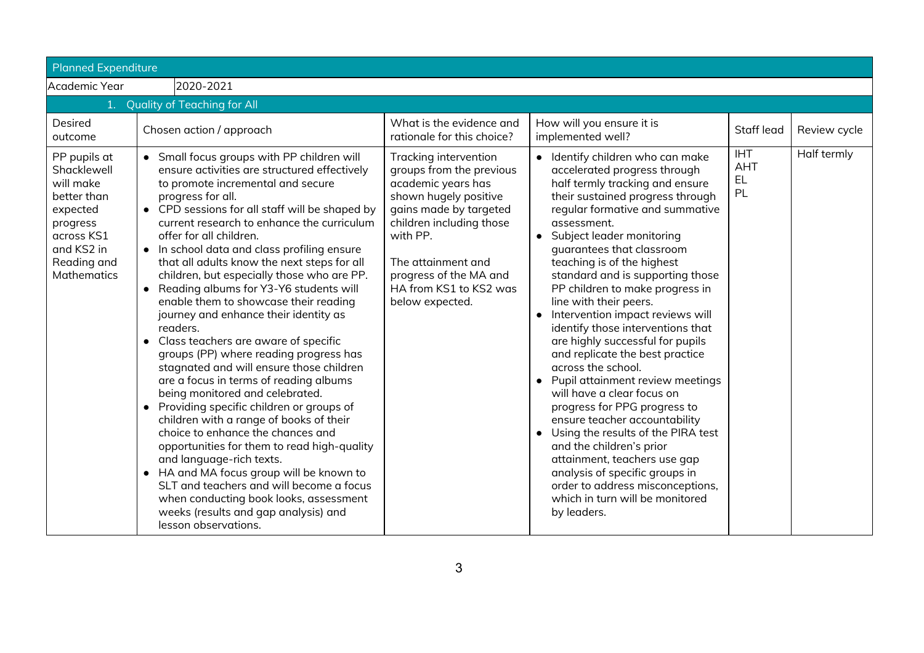| <b>Planned Expenditure</b>                                                                                                                |                                                                                                                                                                                                                                                                                                                                                                                                                                                                                                                                                                                                                                                                                                                                                                                                                                                                                                                                                                                                                                                                                                                                                                                               |                                                                                                                                                                                                                                                                 |                                                                                                                                                                                                                                                                                                                                                                                                                                                                                                                                                                                                                                                                                                                                                                                                                                                                                                                                                   |                                      |              |
|-------------------------------------------------------------------------------------------------------------------------------------------|-----------------------------------------------------------------------------------------------------------------------------------------------------------------------------------------------------------------------------------------------------------------------------------------------------------------------------------------------------------------------------------------------------------------------------------------------------------------------------------------------------------------------------------------------------------------------------------------------------------------------------------------------------------------------------------------------------------------------------------------------------------------------------------------------------------------------------------------------------------------------------------------------------------------------------------------------------------------------------------------------------------------------------------------------------------------------------------------------------------------------------------------------------------------------------------------------|-----------------------------------------------------------------------------------------------------------------------------------------------------------------------------------------------------------------------------------------------------------------|---------------------------------------------------------------------------------------------------------------------------------------------------------------------------------------------------------------------------------------------------------------------------------------------------------------------------------------------------------------------------------------------------------------------------------------------------------------------------------------------------------------------------------------------------------------------------------------------------------------------------------------------------------------------------------------------------------------------------------------------------------------------------------------------------------------------------------------------------------------------------------------------------------------------------------------------------|--------------------------------------|--------------|
| Academic Year                                                                                                                             | 2020-2021                                                                                                                                                                                                                                                                                                                                                                                                                                                                                                                                                                                                                                                                                                                                                                                                                                                                                                                                                                                                                                                                                                                                                                                     |                                                                                                                                                                                                                                                                 |                                                                                                                                                                                                                                                                                                                                                                                                                                                                                                                                                                                                                                                                                                                                                                                                                                                                                                                                                   |                                      |              |
|                                                                                                                                           | 1. Quality of Teaching for All                                                                                                                                                                                                                                                                                                                                                                                                                                                                                                                                                                                                                                                                                                                                                                                                                                                                                                                                                                                                                                                                                                                                                                |                                                                                                                                                                                                                                                                 |                                                                                                                                                                                                                                                                                                                                                                                                                                                                                                                                                                                                                                                                                                                                                                                                                                                                                                                                                   |                                      |              |
| Desired<br>outcome                                                                                                                        | Chosen action / approach                                                                                                                                                                                                                                                                                                                                                                                                                                                                                                                                                                                                                                                                                                                                                                                                                                                                                                                                                                                                                                                                                                                                                                      | What is the evidence and<br>rationale for this choice?                                                                                                                                                                                                          | How will you ensure it is<br>implemented well?                                                                                                                                                                                                                                                                                                                                                                                                                                                                                                                                                                                                                                                                                                                                                                                                                                                                                                    | Staff lead                           | Review cycle |
| PP pupils at<br>Shacklewell<br>will make<br>better than<br>expected<br>progress<br>across KS1<br>and KS2 in<br>Reading and<br>Mathematics | • Small focus groups with PP children will<br>ensure activities are structured effectively<br>to promote incremental and secure<br>progress for all.<br>• CPD sessions for all staff will be shaped by<br>current research to enhance the curriculum<br>offer for all children.<br>• In school data and class profiling ensure<br>that all adults know the next steps for all<br>children, but especially those who are PP.<br>• Reading albums for Y3-Y6 students will<br>enable them to showcase their reading<br>journey and enhance their identity as<br>readers.<br>• Class teachers are aware of specific<br>groups (PP) where reading progress has<br>stagnated and will ensure those children<br>are a focus in terms of reading albums<br>being monitored and celebrated.<br>• Providing specific children or groups of<br>children with a range of books of their<br>choice to enhance the chances and<br>opportunities for them to read high-quality<br>and language-rich texts.<br>• HA and MA focus group will be known to<br>SLT and teachers and will become a focus<br>when conducting book looks, assessment<br>weeks (results and gap analysis) and<br>lesson observations. | Tracking intervention<br>groups from the previous<br>academic years has<br>shown hugely positive<br>gains made by targeted<br>children including those<br>with PP.<br>The attainment and<br>progress of the MA and<br>HA from KS1 to KS2 was<br>below expected. | • Identify children who can make<br>accelerated progress through<br>half termly tracking and ensure<br>their sustained progress through<br>regular formative and summative<br>assessment.<br>• Subject leader monitoring<br>quarantees that classroom<br>teaching is of the highest<br>standard and is supporting those<br>PP children to make progress in<br>line with their peers.<br>Intervention impact reviews will<br>identify those interventions that<br>are highly successful for pupils<br>and replicate the best practice<br>across the school.<br>Pupil attainment review meetings<br>$\bullet$<br>will have a clear focus on<br>progress for PPG progress to<br>ensure teacher accountability<br>Using the results of the PIRA test<br>$\bullet$<br>and the children's prior<br>attainment, teachers use gap<br>analysis of specific groups in<br>order to address misconceptions,<br>which in turn will be monitored<br>by leaders. | <b>IHT</b><br><b>AHT</b><br>EL<br>PL | Half termly  |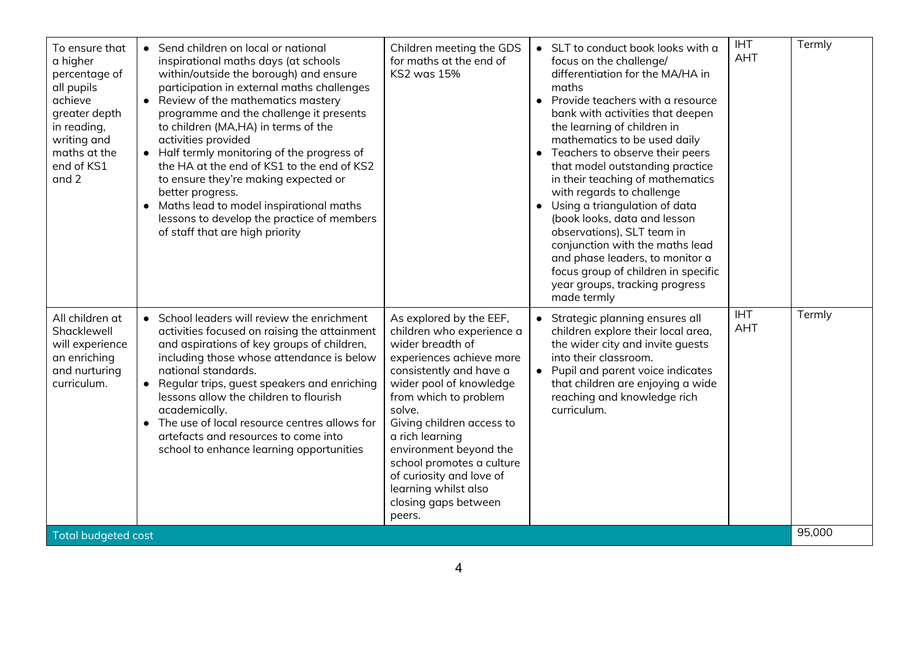| To ensure that<br>a higher<br>percentage of<br>all pupils<br>achieve<br>greater depth<br>in reading,<br>writing and<br>maths at the<br>end of KS1<br>and 2 | • Send children on local or national<br>inspirational maths days (at schools<br>within/outside the borough) and ensure<br>participation in external maths challenges<br>• Review of the mathematics mastery<br>programme and the challenge it presents<br>to children (MA,HA) in terms of the<br>activities provided<br>• Half termly monitoring of the progress of<br>the HA at the end of KS1 to the end of KS2<br>to ensure they're making expected or<br>better progress.<br>Maths lead to model inspirational maths<br>lessons to develop the practice of members<br>of staff that are high priority | Children meeting the GDS<br>for maths at the end of<br><b>KS2 was 15%</b>                                                                                                                                                                                                                                                                                                                  | • SLT to conduct book looks with a<br>focus on the challenge/<br>differentiation for the MA/HA in<br>maths<br>• Provide teachers with a resource<br>bank with activities that deepen<br>the learning of children in<br>mathematics to be used daily<br>Teachers to observe their peers<br>that model outstanding practice<br>in their teaching of mathematics<br>with regards to challenge<br>Using a triangulation of data<br>(book looks, data and lesson<br>observations), SLT team in<br>conjunction with the maths lead<br>and phase leaders, to monitor a<br>focus group of children in specific<br>year groups, tracking progress<br>made termly | <b>IHT</b><br><b>AHT</b> | Termly |
|------------------------------------------------------------------------------------------------------------------------------------------------------------|-----------------------------------------------------------------------------------------------------------------------------------------------------------------------------------------------------------------------------------------------------------------------------------------------------------------------------------------------------------------------------------------------------------------------------------------------------------------------------------------------------------------------------------------------------------------------------------------------------------|--------------------------------------------------------------------------------------------------------------------------------------------------------------------------------------------------------------------------------------------------------------------------------------------------------------------------------------------------------------------------------------------|---------------------------------------------------------------------------------------------------------------------------------------------------------------------------------------------------------------------------------------------------------------------------------------------------------------------------------------------------------------------------------------------------------------------------------------------------------------------------------------------------------------------------------------------------------------------------------------------------------------------------------------------------------|--------------------------|--------|
| All children at<br>Shacklewell<br>will experience<br>an enriching<br>and nurturing<br>curriculum.                                                          | • School leaders will review the enrichment<br>activities focused on raising the attainment<br>and aspirations of key groups of children,<br>including those whose attendance is below<br>national standards.<br>Regular trips, guest speakers and enriching<br>$\bullet$<br>lessons allow the children to flourish<br>academically.<br>The use of local resource centres allows for<br>artefacts and resources to come into<br>school to enhance learning opportunities                                                                                                                                  | As explored by the EEF,<br>children who experience a<br>wider breadth of<br>experiences achieve more<br>consistently and have a<br>wider pool of knowledge<br>from which to problem<br>solve.<br>Giving children access to<br>a rich learning<br>environment beyond the<br>school promotes a culture<br>of curiosity and love of<br>learning whilst also<br>closing gaps between<br>peers. | • Strategic planning ensures all<br>children explore their local area,<br>the wider city and invite quests<br>into their classroom.<br>• Pupil and parent voice indicates<br>that children are enjoying a wide<br>reaching and knowledge rich<br>curriculum.                                                                                                                                                                                                                                                                                                                                                                                            | <b>IHT</b><br><b>AHT</b> | Termly |
| <b>Total budgeted cost</b>                                                                                                                                 |                                                                                                                                                                                                                                                                                                                                                                                                                                                                                                                                                                                                           |                                                                                                                                                                                                                                                                                                                                                                                            |                                                                                                                                                                                                                                                                                                                                                                                                                                                                                                                                                                                                                                                         |                          | 95,000 |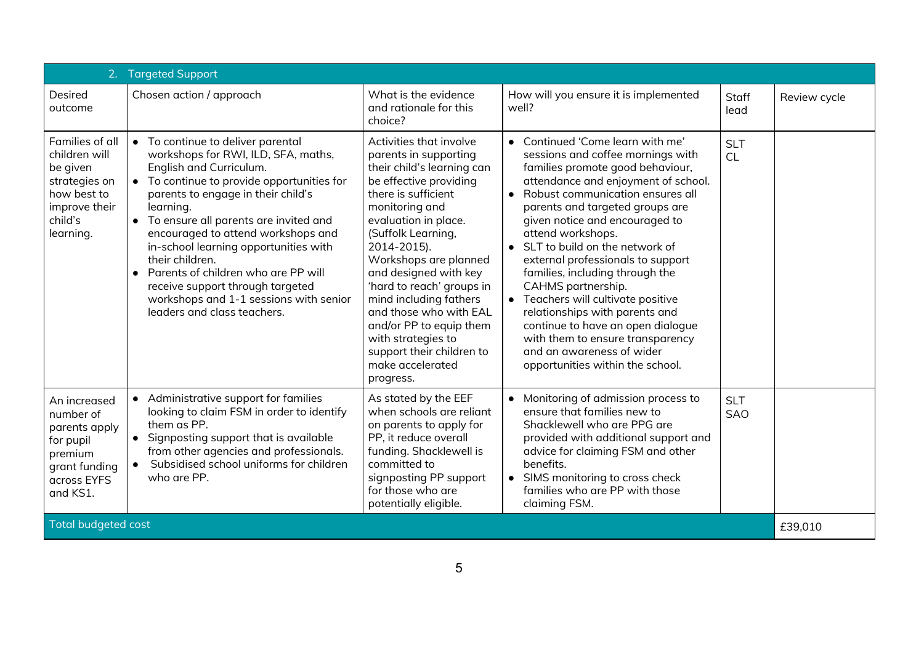|                                                                                                                       | 2. Targeted Support                                                                                                                                                                                                                                                                                                                                                                                                                                                                                   |                                                                                                                                                                                                                                                                                                                                                                                                                                                                  |                                                                                                                                                                                                                                                                                                                                                                                                                                                                                                                                                                                                                                                 |                          |              |
|-----------------------------------------------------------------------------------------------------------------------|-------------------------------------------------------------------------------------------------------------------------------------------------------------------------------------------------------------------------------------------------------------------------------------------------------------------------------------------------------------------------------------------------------------------------------------------------------------------------------------------------------|------------------------------------------------------------------------------------------------------------------------------------------------------------------------------------------------------------------------------------------------------------------------------------------------------------------------------------------------------------------------------------------------------------------------------------------------------------------|-------------------------------------------------------------------------------------------------------------------------------------------------------------------------------------------------------------------------------------------------------------------------------------------------------------------------------------------------------------------------------------------------------------------------------------------------------------------------------------------------------------------------------------------------------------------------------------------------------------------------------------------------|--------------------------|--------------|
| Desired<br>outcome                                                                                                    | Chosen action / approach                                                                                                                                                                                                                                                                                                                                                                                                                                                                              | What is the evidence<br>and rationale for this<br>choice?                                                                                                                                                                                                                                                                                                                                                                                                        | How will you ensure it is implemented<br>well?                                                                                                                                                                                                                                                                                                                                                                                                                                                                                                                                                                                                  | <b>Staff</b><br>lead     | Review cycle |
| Families of all<br>children will<br>be given<br>strategies on<br>how best to<br>improve their<br>child's<br>learning. | • To continue to deliver parental<br>workshops for RWI, ILD, SFA, maths,<br>English and Curriculum.<br>• To continue to provide opportunities for<br>parents to engage in their child's<br>learning.<br>• To ensure all parents are invited and<br>encouraged to attend workshops and<br>in-school learning opportunities with<br>their children.<br>Parents of children who are PP will<br>receive support through targeted<br>workshops and 1-1 sessions with senior<br>leaders and class teachers. | Activities that involve<br>parents in supporting<br>their child's learning can<br>be effective providing<br>there is sufficient<br>monitoring and<br>evaluation in place.<br>(Suffolk Learning,<br>2014-2015).<br>Workshops are planned<br>and designed with key<br>'hard to reach' groups in<br>mind including fathers<br>and those who with EAL<br>and/or PP to equip them<br>with strategies to<br>support their children to<br>make accelerated<br>progress. | • Continued 'Come learn with me'<br>sessions and coffee mornings with<br>families promote good behaviour,<br>attendance and enjoyment of school.<br>Robust communication ensures all<br>$\bullet$<br>parents and targeted groups are<br>given notice and encouraged to<br>attend workshops.<br>• SLT to build on the network of<br>external professionals to support<br>families, including through the<br>CAHMS partnership.<br>• Teachers will cultivate positive<br>relationships with parents and<br>continue to have an open dialogue<br>with them to ensure transparency<br>and an awareness of wider<br>opportunities within the school. | <b>SLT</b><br>CL         |              |
| An increased<br>number of<br>parents apply<br>for pupil<br>premium<br>grant funding<br>across EYFS<br>and KS1.        | Administrative support for families<br>$\bullet$<br>looking to claim FSM in order to identify<br>them as PP.<br>• Signposting support that is available<br>from other agencies and professionals.<br>Subsidised school uniforms for children<br>who are PP.                                                                                                                                                                                                                                           | As stated by the EEF<br>when schools are reliant<br>on parents to apply for<br>PP, it reduce overall<br>funding. Shacklewell is<br>committed to<br>signposting PP support<br>for those who are<br>potentially eligible.                                                                                                                                                                                                                                          | Monitoring of admission process to<br>$\bullet$<br>ensure that families new to<br>Shacklewell who are PPG are<br>provided with additional support and<br>advice for claiming FSM and other<br>benefits.<br>• SIMS monitoring to cross check<br>families who are PP with those<br>claiming FSM.                                                                                                                                                                                                                                                                                                                                                  | <b>SLT</b><br><b>SAO</b> |              |
| <b>Total budgeted cost</b>                                                                                            |                                                                                                                                                                                                                                                                                                                                                                                                                                                                                                       |                                                                                                                                                                                                                                                                                                                                                                                                                                                                  |                                                                                                                                                                                                                                                                                                                                                                                                                                                                                                                                                                                                                                                 | £39,010                  |              |